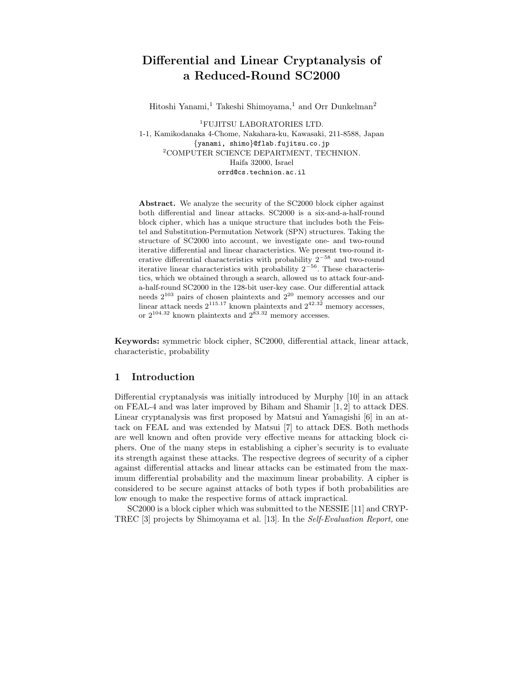# Differential and Linear Cryptanalysis of a Reduced-Round SC2000

Hitoshi Yanami,<sup>1</sup> Takeshi Shimoyama,<sup>1</sup> and Orr Dunkelman<sup>2</sup>

<sup>1</sup>FUJITSU LABORATORIES LTD. 1-1, Kamikodanaka 4-Chome, Nakahara-ku, Kawasaki, 211-8588, Japan {yanami, shimo}@flab.fujitsu.co.jp <sup>2</sup>COMPUTER SCIENCE DEPARTMENT, TECHNION. Haifa 32000, Israel orrd@cs.technion.ac.il

Abstract. We analyze the security of the SC2000 block cipher against both differential and linear attacks. SC2000 is a six-and-a-half-round block cipher, which has a unique structure that includes both the Feistel and Substitution-Permutation Network (SPN) structures. Taking the structure of SC2000 into account, we investigate one- and two-round iterative differential and linear characteristics. We present two-round iterative differential characteristics with probability  $2^{-58}$  and two-round iterative linear characteristics with probability  $2^{-56}$ . These characteristics, which we obtained through a search, allowed us to attack four-anda-half-round SC2000 in the 128-bit user-key case. Our differential attack needs 2 <sup>103</sup> pairs of chosen plaintexts and 2 <sup>20</sup> memory accesses and our linear attack needs  $2^{115.17}$  known plaintexts and  $2^{42.32}$  memory accesses, or  $2^{104.32}$  known plaintexts and  $2^{83.32}$  memory accesses.

Keywords: symmetric block cipher, SC2000, differential attack, linear attack, characteristic, probability

# 1 Introduction

Differential cryptanalysis was initially introduced by Murphy [10] in an attack on FEAL-4 and was later improved by Biham and Shamir [1, 2] to attack DES. Linear cryptanalysis was first proposed by Matsui and Yamagishi [6] in an attack on FEAL and was extended by Matsui [7] to attack DES. Both methods are well known and often provide very effective means for attacking block ciphers. One of the many steps in establishing a cipher's security is to evaluate its strength against these attacks. The respective degrees of security of a cipher against differential attacks and linear attacks can be estimated from the maximum differential probability and the maximum linear probability. A cipher is considered to be secure against attacks of both types if both probabilities are low enough to make the respective forms of attack impractical.

SC2000 is a block cipher which was submitted to the NESSIE [11] and CRYP-TREC [3] projects by Shimoyama et al. [13]. In the Self-Evaluation Report, one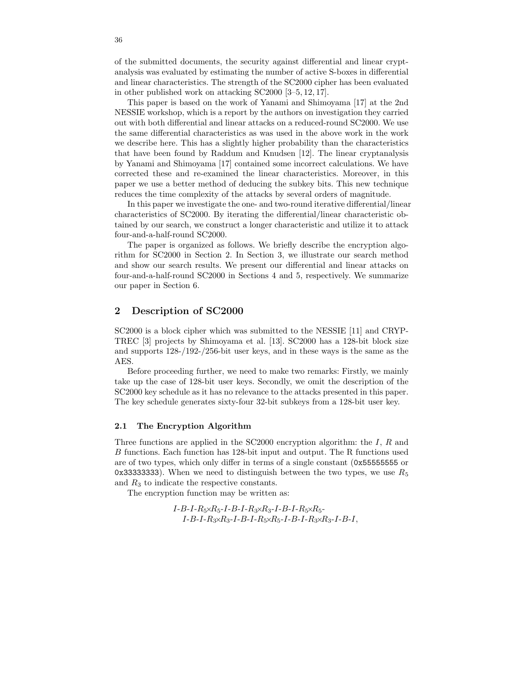of the submitted documents, the security against differential and linear cryptanalysis was evaluated by estimating the number of active S-boxes in differential and linear characteristics. The strength of the SC2000 cipher has been evaluated in other published work on attacking SC2000 [3–5, 12, 17].

This paper is based on the work of Yanami and Shimoyama [17] at the 2nd NESSIE workshop, which is a report by the authors on investigation they carried out with both differential and linear attacks on a reduced-round SC2000. We use the same differential characteristics as was used in the above work in the work we describe here. This has a slightly higher probability than the characteristics that have been found by Raddum and Knudsen [12]. The linear cryptanalysis by Yanami and Shimoyama [17] contained some incorrect calculations. We have corrected these and re-examined the linear characteristics. Moreover, in this paper we use a better method of deducing the subkey bits. This new technique reduces the time complexity of the attacks by several orders of magnitude.

In this paper we investigate the one- and two-round iterative differential/linear characteristics of SC2000. By iterating the differential/linear characteristic obtained by our search, we construct a longer characteristic and utilize it to attack four-and-a-half-round SC2000.

The paper is organized as follows. We briefly describe the encryption algorithm for SC2000 in Section 2. In Section 3, we illustrate our search method and show our search results. We present our differential and linear attacks on four-and-a-half-round SC2000 in Sections 4 and 5, respectively. We summarize our paper in Section 6.

# 2 Description of SC2000

SC2000 is a block cipher which was submitted to the NESSIE [11] and CRYP-TREC [3] projects by Shimoyama et al. [13]. SC2000 has a 128-bit block size and supports 128-/192-/256-bit user keys, and in these ways is the same as the AES.

Before proceeding further, we need to make two remarks: Firstly, we mainly take up the case of 128-bit user keys. Secondly, we omit the description of the SC2000 key schedule as it has no relevance to the attacks presented in this paper. The key schedule generates sixty-four 32-bit subkeys from a 128-bit user key.

## 2.1 The Encryption Algorithm

Three functions are applied in the  $SC2000$  encryption algorithm: the I, R and B functions. Each function has 128-bit input and output. The R functions used are of two types, which only differ in terms of a single constant (0x55555555 or 0x333333333333333. When we need to distinguish between the two types, we use  $R_5$ and  $R_3$  to indicate the respective constants.

The encryption function may be written as:

 $I-B-I-R_5\times R_5-I-B-I-R_3\times R_3-I-B-I-R_5\times R_5-I$  $I-B-I-R_3\times R_3-I-B-I-R_5\times R_5-I-B-I-R_3\times R_3-I-B-I$ ,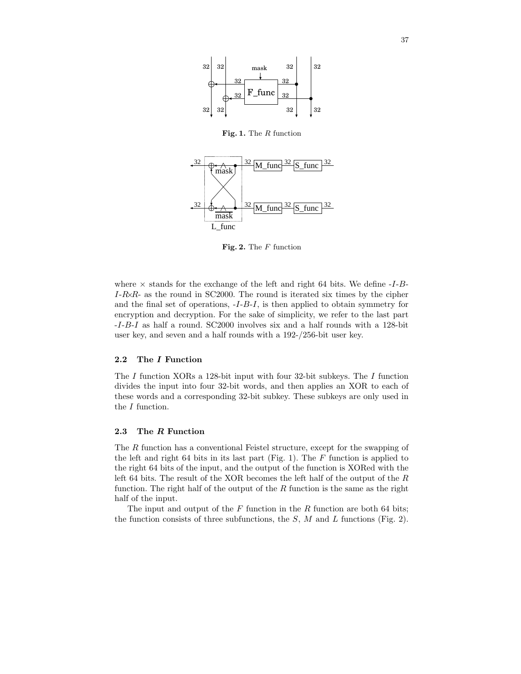

Fig. 1. The R function



Fig. 2. The  $F$  function

where  $\times$  stands for the exchange of the left and right 64 bits. We define  $-I-B$ - $I-R\lambda R$ - as the round in SC2000. The round is iterated six times by the cipher and the final set of operations, -I-B-I, is then applied to obtain symmetry for encryption and decryption. For the sake of simplicity, we refer to the last part -I-B-I as half a round. SC2000 involves six and a half rounds with a 128-bit user key, and seven and a half rounds with a 192-/256-bit user key.

## 2.2 The I Function

The I function XORs a 128-bit input with four 32-bit subkeys. The I function divides the input into four 32-bit words, and then applies an XOR to each of these words and a corresponding 32-bit subkey. These subkeys are only used in the I function.

## 2.3 The R Function

The R function has a conventional Feistel structure, except for the swapping of the left and right 64 bits in its last part (Fig. 1). The  $F$  function is applied to the right 64 bits of the input, and the output of the function is XORed with the left 64 bits. The result of the XOR becomes the left half of the output of the R function. The right half of the output of the  $R$  function is the same as the right half of the input.

The input and output of the  $F$  function in the  $R$  function are both 64 bits; the function consists of three subfunctions, the  $S$ ,  $M$  and  $L$  functions (Fig. 2).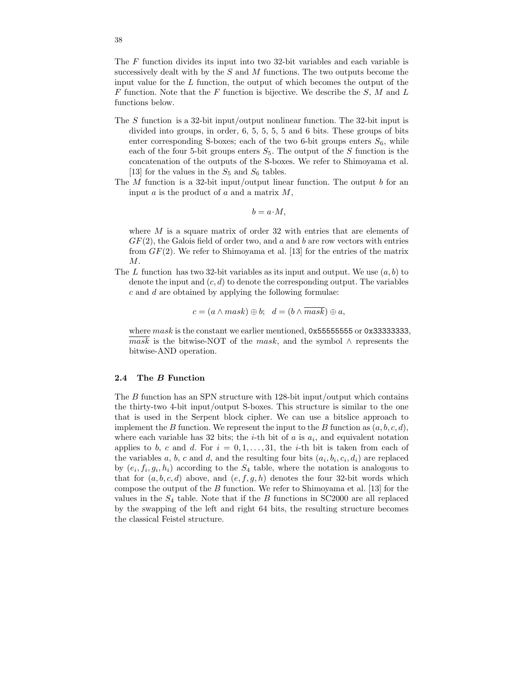The F function divides its input into two 32-bit variables and each variable is successively dealt with by the  $S$  and  $M$  functions. The two outputs become the input value for the  $L$  function, the output of which becomes the output of the  $F$  function. Note that the  $F$  function is bijective. We describe the  $S, M$  and  $L$ functions below.

- The S function is a 32-bit input/output nonlinear function. The 32-bit input is divided into groups, in order, 6, 5, 5, 5, 5 and 6 bits. These groups of bits enter corresponding S-boxes; each of the two 6-bit groups enters  $S_6$ , while each of the four 5-bit groups enters  $S_5$ . The output of the S function is the concatenation of the outputs of the S-boxes. We refer to Shimoyama et al. [13] for the values in the  $S_5$  and  $S_6$  tables.
- The  $M$  function is a 32-bit input/output linear function. The output  $b$  for an input  $a$  is the product of  $a$  and a matrix  $M$ ,

$$
b = a \cdot M,
$$

where  $M$  is a square matrix of order 32 with entries that are elements of  $GF(2)$ , the Galois field of order two, and a and b are row vectors with entries from  $GF(2)$ . We refer to Shimoyama et al. [13] for the entries of the matrix  $M$ .

The L function has two 32-bit variables as its input and output. We use  $(a, b)$  to denote the input and  $(c, d)$  to denote the corresponding output. The variables c and d are obtained by applying the following formulae:

$$
c = (a \wedge mask) \oplus b; \ \ d = (b \wedge \overline{mask}) \oplus a,
$$

where  $mask$  is the constant we earlier mentioned,  $0x55555555$  or  $0x33333333$ , mask is the bitwise-NOT of the mask, and the symbol  $\land$  represents the bitwise-AND operation.

## 2.4 The B Function

The  $B$  function has an SPN structure with 128-bit input/output which contains the thirty-two 4-bit input/output S-boxes. This structure is similar to the one that is used in the Serpent block cipher. We can use a bitslice approach to implement the B function. We represent the input to the B function as  $(a, b, c, d)$ , where each variable has 32 bits; the *i*-th bit of  $a$  is  $a_i$ , and equivalent notation applies to b, c and d. For  $i = 0, 1, \ldots, 31$ , the *i*-th bit is taken from each of the variables a, b, c and d, and the resulting four bits  $(a_i, b_i, c_i, d_i)$  are replaced by  $(e_i, f_i, g_i, h_i)$  according to the  $S_4$  table, where the notation is analogous to that for  $(a, b, c, d)$  above, and  $(e, f, g, h)$  denotes the four 32-bit words which compose the output of the  $B$  function. We refer to Shimoyama et al. [13] for the values in the  $S_4$  table. Note that if the B functions in SC2000 are all replaced by the swapping of the left and right 64 bits, the resulting structure becomes the classical Feistel structure.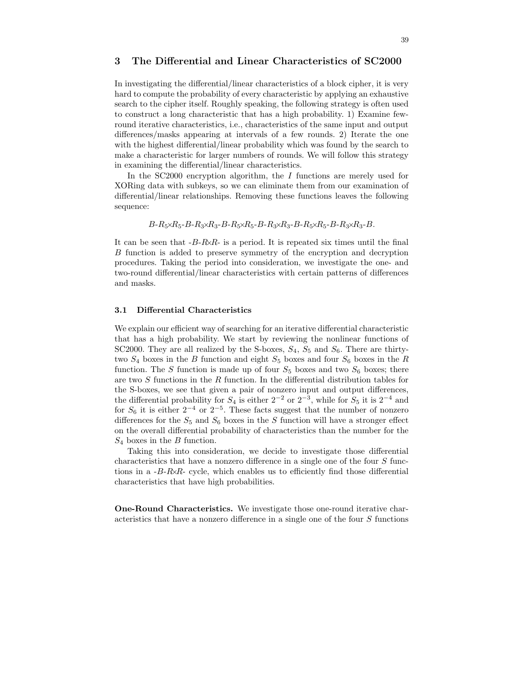# 3 The Differential and Linear Characteristics of SC2000

In investigating the differential/linear characteristics of a block cipher, it is very hard to compute the probability of every characteristic by applying an exhaustive search to the cipher itself. Roughly speaking, the following strategy is often used to construct a long characteristic that has a high probability. 1) Examine fewround iterative characteristics, i.e., characteristics of the same input and output differences/masks appearing at intervals of a few rounds. 2) Iterate the one with the highest differential/linear probability which was found by the search to make a characteristic for larger numbers of rounds. We will follow this strategy in examining the differential/linear characteristics.

In the  $SC2000$  encryption algorithm, the I functions are merely used for XORing data with subkeys, so we can eliminate them from our examination of differential/linear relationships. Removing these functions leaves the following sequence:

 $B-R_5\times R_5-B-R_3\times R_3-B-R_5\times R_5-B-R_3\times R_3-B-R_5\times R_5-B-R_3\times R_3-B$ .

It can be seen that  $-B-R\&R$ - is a period. It is repeated six times until the final B function is added to preserve symmetry of the encryption and decryption procedures. Taking the period into consideration, we investigate the one- and two-round differential/linear characteristics with certain patterns of differences and masks.

## 3.1 Differential Characteristics

We explain our efficient way of searching for an iterative differential characteristic that has a high probability. We start by reviewing the nonlinear functions of SC2000. They are all realized by the S-boxes,  $S_4$ ,  $S_5$  and  $S_6$ . There are thirtytwo  $S_4$  boxes in the B function and eight  $S_5$  boxes and four  $S_6$  boxes in the R function. The S function is made up of four  $S_5$  boxes and two  $S_6$  boxes; there are two  $S$  functions in the  $R$  function. In the differential distribution tables for the S-boxes, we see that given a pair of nonzero input and output differences, the differential probability for  $S_4$  is either  $2^{-2}$  or  $2^{-3}$ , while for  $S_5$  it is  $2^{-4}$  and for  $S_6$  it is either  $2^{-4}$  or  $2^{-5}$ . These facts suggest that the number of nonzero differences for the  $S_5$  and  $S_6$  boxes in the S function will have a stronger effect on the overall differential probability of characteristics than the number for the  $S_4$  boxes in the B function.

Taking this into consideration, we decide to investigate those differential characteristics that have a nonzero difference in a single one of the four  $S$  functions in a  $-B-R\lambda R$ - cycle, which enables us to efficiently find those differential characteristics that have high probabilities.

One-Round Characteristics. We investigate those one-round iterative characteristics that have a nonzero difference in a single one of the four S functions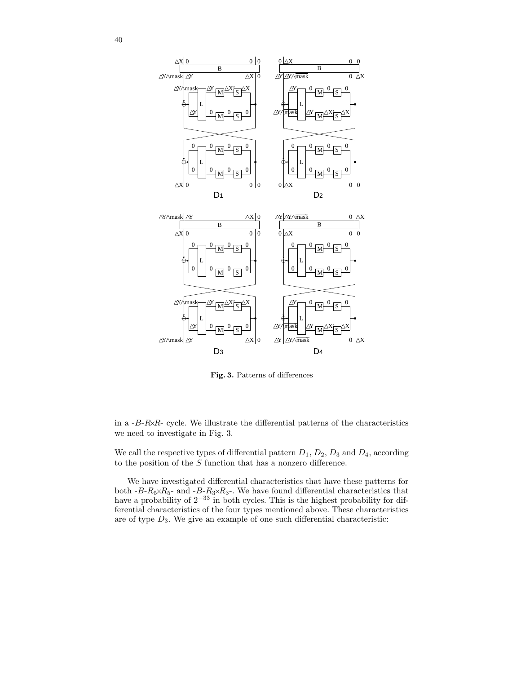

Fig. 3. Patterns of differences

in a  $-B-R\angle R$ - cycle. We illustrate the differential patterns of the characteristics we need to investigate in Fig. 3.

We call the respective types of differential pattern  $D_1$ ,  $D_2$ ,  $D_3$  and  $D_4$ , according to the position of the  $S$  function that has a nonzero difference.

We have investigated differential characteristics that have these patterns for both  $-B-R_5 \times R_5$ - and  $-B-R_3 \times R_3$ -. We have found differential characteristics that have a probability of  $2^{-33}$  in both cycles. This is the highest probability for differential characteristics of the four types mentioned above. These characteristics are of type  $D_3$ . We give an example of one such differential characteristic: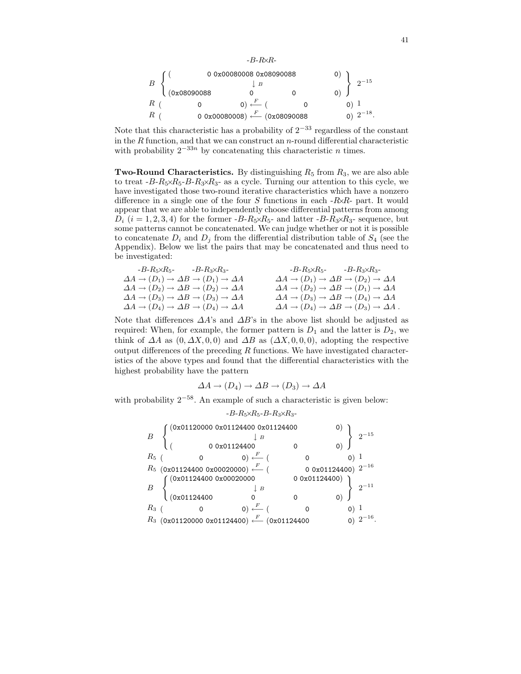

$$
\begin{array}{ccc} B\end{array}\begin{array}{c} \left(\begin{array}{ccccc} & 0&0\,x00080008&0x08090088& & &0)\\ \downarrow{B}& & & &\\ (0x08090088& &0& & &\\ R\ (\end{array}\right)\end{array}\begin{array}{c} \left(\begin{array}{ccccc} & & & & 0\\ x&0& & &\\ & & & &\\ R\ (\end{array}\right)\end{array}\begin{array}{c} \left(\begin{array}{ccccc} & & & & 0\\ x&0& &\\ & & & &\\ x&0& &\\ & & & &\\ \end{array}\right)\end{array}\begin{array}{c} \left(\begin{array}{ccccc} & & & & 0\\ x&0& &\\ & & & &\\ x&0& &\\ & & & &\\ x&0& &\\ x&0& &\\ \end{array}\right)\end{array}\begin{array}{c} \left(\begin{array}{ccccc} & & & & 0\\ x&0& &\\ & & & &\\ x&0& &\\ & & & &\\ x&0& &\\ & & & &\\ x&0& &\\ x&0& &\\ \end{array}\right)\end{array}
$$

Note that this characteristic has a probability of  $2^{-33}$  regardless of the constant in the  $R$  function, and that we can construct an  $n$ -round differential characteristic with probability  $2^{-33n}$  by concatenating this characteristic *n* times.

**Two-Round Characteristics.** By distinguishing  $R_5$  from  $R_3$ , we are also able to treat  $-B-R_5\times R_5-B-R_3\times R_3$ - as a cycle. Turning our attention to this cycle, we have investigated those two-round iterative characteristics which have a nonzero difference in a single one of the four  $S$  functions in each  $-R\lambda R$ - part. It would appear that we are able to independently choose differential patterns from among  $D_i$  ( $i = 1, 2, 3, 4$ ) for the former  $-B-R_5 \times R_5$ - and latter  $-B-R_3 \times R_3$ - sequence, but some patterns cannot be concatenated. We can judge whether or not it is possible to concatenate  $D_i$  and  $D_j$  from the differential distribution table of  $S_4$  (see the Appendix). Below we list the pairs that may be concatenated and thus need to be investigated:

| $-B-R_5\times R_5$ - $-B-R_3\times R_3$ -                                                | $-B-R_5\times R_5$ - $-B-R_3\times R_3$ -                                                  |
|------------------------------------------------------------------------------------------|--------------------------------------------------------------------------------------------|
| $\Delta A \rightarrow (D_1) \rightarrow \Delta B \rightarrow (D_1) \rightarrow \Delta A$ | $\Delta A \rightarrow (D_1) \rightarrow \Delta B \rightarrow (D_2) \rightarrow \Delta A$   |
| $\Delta A \rightarrow (D_2) \rightarrow \Delta B \rightarrow (D_2) \rightarrow \Delta A$ | $\Delta A \rightarrow (D_2) \rightarrow \Delta B \rightarrow (D_1) \rightarrow \Delta A$   |
| $\Delta A \rightarrow (D_3) \rightarrow \Delta B \rightarrow (D_3) \rightarrow \Delta A$ | $\Delta A \rightarrow (D_3) \rightarrow \Delta B \rightarrow (D_4) \rightarrow \Delta A$   |
| $\Delta A \rightarrow (D_4) \rightarrow \Delta B \rightarrow (D_4) \rightarrow \Delta A$ | $\Delta A \rightarrow (D_4) \rightarrow \Delta B \rightarrow (D_3) \rightarrow \Delta A$ . |
|                                                                                          |                                                                                            |

Note that differences  $\Delta A$ 's and  $\Delta B$ 's in the above list should be adjusted as required: When, for example, the former pattern is  $D_1$  and the latter is  $D_2$ , we think of  $\Delta A$  as  $(0, \Delta X, 0, 0)$  and  $\Delta B$  as  $(\Delta X, 0, 0, 0)$ , adopting the respective output differences of the preceding  $R$  functions. We have investigated characteristics of the above types and found that the differential characteristics with the highest probability have the pattern

$$
\Delta A \to (D_4) \to \Delta B \to (D_3) \to \Delta A
$$

with probability  $2^{-58}$ . An example of such a characteristic is given below:

|       |                                  | $-B-R_5\times R_5-B-R_3\times R_3-$                                      |              |                         |
|-------|----------------------------------|--------------------------------------------------------------------------|--------------|-------------------------|
|       | 0x01120000 0x01124400 0x01124400 |                                                                          |              |                         |
|       |                                  | 00x01124400                                                              |              |                         |
| $R_5$ |                                  | 0) $\stackrel{F}{\longleftarrow}$ (                                      |              |                         |
|       |                                  | $R_5$ (0x01124400 0x00020000) $\stackrel{F}{\longleftarrow}$ (           |              | 0 0x01124400) $2^{-16}$ |
|       |                                  | (0x011244000x00020000                                                    | 00x01124400) |                         |
| B     | (0x01124400                      | $\mid B$                                                                 |              |                         |
|       |                                  |                                                                          |              |                         |
| $R_3$ |                                  | $(0) \stackrel{F}{\longleftarrow}$ (                                     |              |                         |
|       |                                  | $R_3$ (0x01120000 0x01124400) $\stackrel{F}{\longleftarrow}$ (0x01124400 |              |                         |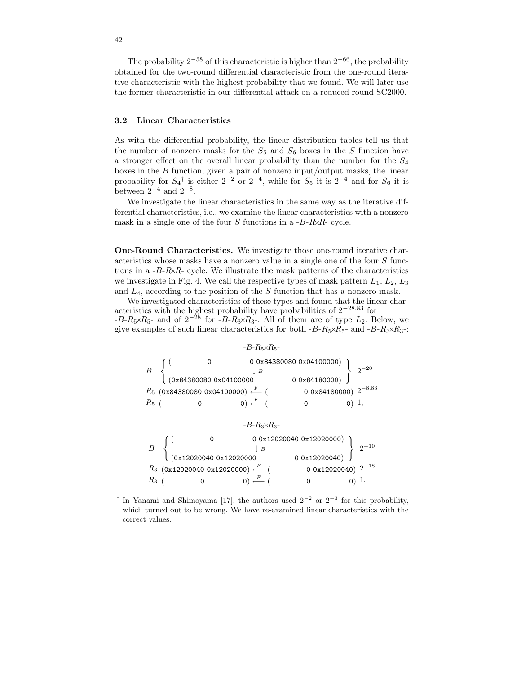The probability  $2^{-58}$  of this characteristic is higher than  $2^{-66}$ , the probability obtained for the two-round differential characteristic from the one-round iterative characteristic with the highest probability that we found. We will later use the former characteristic in our differential attack on a reduced-round SC2000.

#### 3.2 Linear Characteristics

As with the differential probability, the linear distribution tables tell us that the number of nonzero masks for the  $S_5$  and  $S_6$  boxes in the S function have a stronger effect on the overall linear probability than the number for the  $S_4$ boxes in the  $B$  function; given a pair of nonzero input/output masks, the linear probability for  $S_4^{\dagger}$  is either  $2^{-2}$  or  $2^{-4}$ , while for  $S_5$  it is  $2^{-4}$  and for  $S_6$  it is between  $2^{-4}$  and  $2^{-8}$ .

We investigate the linear characteristics in the same way as the iterative differential characteristics, i.e., we examine the linear characteristics with a nonzero mask in a single one of the four S functions in a  $-B-R\&R$ - cycle.

One-Round Characteristics. We investigate those one-round iterative characteristics whose masks have a nonzero value in a single one of the four S functions in a  $-B-R\&R$ - cycle. We illustrate the mask patterns of the characteristics we investigate in Fig. 4. We call the respective types of mask pattern  $L_1, L_2, L_3$ and  $L_4$ , according to the position of the S function that has a nonzero mask.

We investigated characteristics of these types and found that the linear characteristics with the highest probability have probabilities of 2 <sup>−</sup>28.<sup>83</sup> for  $-B-R_5\times R_5$ - and of  $2^{-28}$  for  $-B-R_3\times R_3$ -. All of them are of type  $L_2$ . Below, we give examples of such linear characteristics for both  $-B-R_5\times R_5$ - and  $-B-R_3\times R_3$ -:



<sup>†</sup> In Yanami and Shimoyama [17], the authors used  $2^{-2}$  or  $2^{-3}$  for this probability, which turned out to be wrong. We have re-examined linear characteristics with the correct values.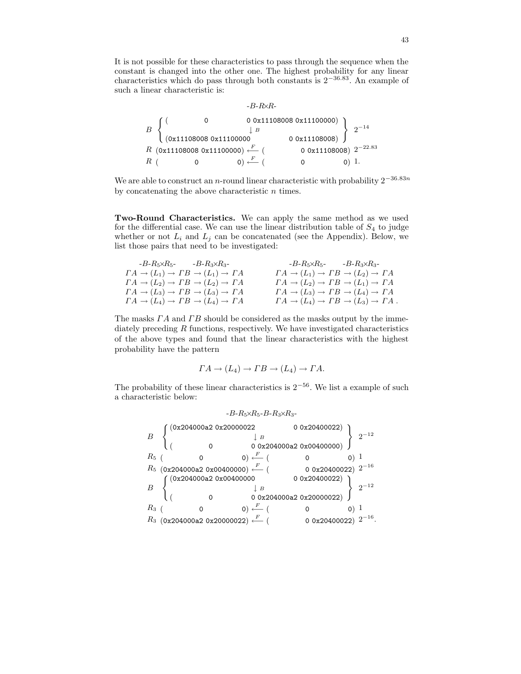It is not possible for these characteristics to pass through the sequence when the constant is changed into the other one. The highest probability for any linear characteristics which do pass through both constants is  $2^{-36.83}$ . An example of such a linear characteristic is:

|                               | $-B-R\!\times\!R$ -                                         |                        |                            |
|-------------------------------|-------------------------------------------------------------|------------------------|----------------------------|
|                               |                                                             | 00x111080080x11100000) |                            |
|                               | $\mid B$                                                    |                        |                            |
| $\int (0x111080080x11100000)$ |                                                             | 0.0x11108008)          |                            |
|                               | R $(0x111080080x11100000)$ $\stackrel{F}{\longleftarrow}$ ( |                        | 0 0x11108008) $2^{-22.83}$ |
|                               |                                                             |                        |                            |

We are able to construct an *n*-round linear characteristic with probability  $2^{-36.83n}$ by concatenating the above characteristic  $n$  times.

Two-Round Characteristics. We can apply the same method as we used for the differential case. We can use the linear distribution table of  $S_4$  to judge whether or not  $L_i$  and  $L_j$  can be concatenated (see the Appendix). Below, we list those pairs that need to be investigated:

| $-B-R_5\times R_5$ - $-B-R_3\times R_3$ -                | $-B-R_5\times R_5$ - $-B-R_3\times R_3$ -                |
|----------------------------------------------------------|----------------------------------------------------------|
| $\Gamma A \to (L_1) \to \Gamma B \to (L_1) \to \Gamma A$ | $\Gamma A \to (L_1) \to \Gamma B \to (L_2) \to \Gamma A$ |
| $\Gamma A \to (L_2) \to \Gamma B \to (L_2) \to \Gamma A$ | $\Gamma A \to (L_2) \to \Gamma B \to (L_1) \to \Gamma A$ |
| $\Gamma A \to (L_3) \to \Gamma B \to (L_3) \to \Gamma A$ | $\Gamma A \to (L_3) \to \Gamma B \to (L_4) \to \Gamma A$ |
| $\Gamma A \to (L_4) \to \Gamma B \to (L_4) \to \Gamma A$ | $\Gamma A \to (L_4) \to \Gamma B \to (L_3) \to \Gamma A$ |

The masks  $\Gamma A$  and  $\Gamma B$  should be considered as the masks output by the immediately preceding  $R$  functions, respectively. We have investigated characteristics of the above types and found that the linear characteristics with the highest probability have the pattern

$$
\Gamma A \to (L_4) \to \Gamma B \to (L_4) \to \Gamma A.
$$

The probability of these linear characteristics is  $2^{-56}$ . We list a example of such a characteristic below:

|       |                                                                |                       | $-B-R_5\times R_5-B-R_3\times R_3-$     |                           |  |
|-------|----------------------------------------------------------------|-----------------------|-----------------------------------------|---------------------------|--|
| B     |                                                                | 0x204000a2 0x20000022 | $\parallel$ B<br>00x204000a20x00400000) | 0 0x20400022)             |  |
| $R_5$ |                                                                |                       | $(0) \stackrel{F}{\longleftarrow} ($    |                           |  |
|       | $R_5$ (0x204000a2 0x00400000) $\stackrel{F}{\longleftarrow}$ ( |                       |                                         | 0 0x20400022) $2^{-16}$   |  |
| B     |                                                                | 0x204000a2 0x00400000 | $\mid B$                                | 00x20400022)              |  |
|       |                                                                |                       | 0 0x204000a2 0x20000022)                |                           |  |
| $R_3$ |                                                                |                       | $(0) \stackrel{F}{\longleftarrow} ($    |                           |  |
|       | $R_3$ (0x204000a2 0x20000022) $\stackrel{F}{\longleftarrow}$ ( |                       |                                         | 0 0x20400022) $2^{-16}$ . |  |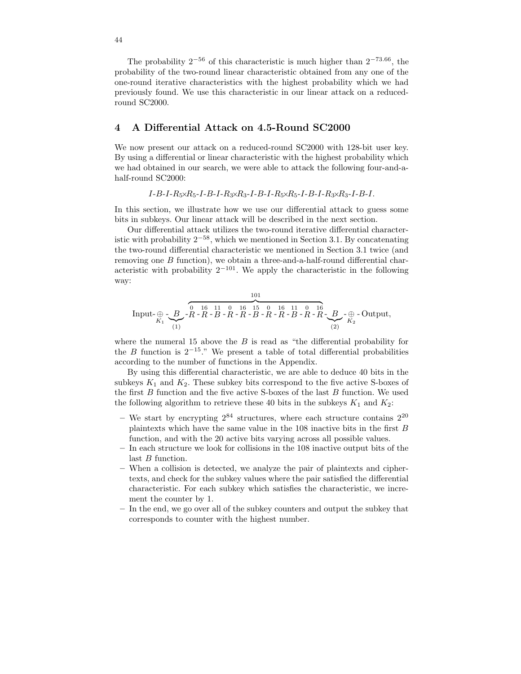The probability  $2^{-56}$  of this characteristic is much higher than  $2^{-73.66}$ , the probability of the two-round linear characteristic obtained from any one of the one-round iterative characteristics with the highest probability which we had previously found. We use this characteristic in our linear attack on a reducedround SC2000.

## 4 A Differential Attack on 4.5-Round SC2000

We now present our attack on a reduced-round SC2000 with 128-bit user key. By using a differential or linear characteristic with the highest probability which we had obtained in our search, we were able to attack the following four-and-ahalf-round SC2000:

$$
I-B-I-R_5 \times R_5-I-B-I-R_3 \times R_3-I-B-I-R_5 \times R_5-I-B-I-R_3 \times R_3-I-B-I.
$$

In this section, we illustrate how we use our differential attack to guess some bits in subkeys. Our linear attack will be described in the next section.

Our differential attack utilizes the two-round iterative differential characteristic with probability  $2^{-58}$ , which we mentioned in Section 3.1. By concatenating the two-round differential characteristic we mentioned in Section 3.1 twice (and removing one  $B$  function), we obtain a three-and-a-half-round differential characteristic with probability  $2^{-101}$ . We apply the characteristic in the following way:

Input-
$$
\bigoplus_{K_1}
$$
 -  $\bigoplus_{K_1}$  -  $\bigoplus_{(1)}$  -  $\bigoplus_{(1)}$  -  $\bigoplus_{(1)}$  -  $\bigoplus_{(1)}$  -  $\bigoplus_{(1)}$  -  $\bigoplus_{(1)}$  -  $\bigoplus_{(1)}$  -  $\bigoplus_{(1)}$  -  $\bigoplus_{(1)}$  -  $\bigoplus_{(1)}$  -  $\bigoplus_{(1)}$  -  $\bigoplus_{(1)}$  -  $\bigoplus_{(1)}$  -  $\bigoplus_{(1)}$  -  $\bigoplus_{(1)}$  -  $\bigoplus_{(1)}$  -  $\bigoplus_{(1)}$  -  $\bigoplus_{(1)}$  -  $\bigoplus_{(1)}$  -  $\bigoplus_{(1)}$  -  $\bigoplus_{(1)}$  -  $\bigoplus_{(1)}$  -  $\bigoplus_{(1)}$  -  $\bigoplus_{(1)}$  -  $\bigoplus_{(1)}$  -  $\bigoplus_{(1)}$  -  $\bigoplus_{(1)}$  -  $\bigoplus_{(1)}$  -  $\bigoplus_{(1)}$  -  $\bigoplus_{(1)}$  -  $\bigoplus_{(1)}$  -  $\bigoplus_{(1)}$  -  $\bigoplus_{(1)}$  -  $\bigoplus_{(1)}$  -  $\bigoplus_{(1)}$  -  $\bigoplus_{(1)}$  -  $\bigoplus_{(1)}$  -  $\bigoplus_{(1)}$  -  $\bigoplus_{(1)}$  -  $\bigoplus_{(1)}$  -  $\bigoplus_{(1)}$  -  $\bigoplus_{(1)}$  -  $\bigoplus_{(1)}$  -  $\bigoplus_{(1)}$  -  $\bigoplus_{(1)}$  -  $\bigoplus_{(1)}$  -  $\bigoplus_{(1)}$  -  $\bigoplus_{(1)}$  -  $\bigoplus_{(1)}$  -  $\bigoplus_{(1)}$  -  $\bigoplus_{(1)}$  -  $\bigoplus_{(1)}$  -  $\bigoplus_{($ 

where the numeral 15 above the  $B$  is read as "the differential probability for the B function is  $2^{-15}$ ." We present a table of total differential probabilities according to the number of functions in the Appendix.

By using this differential characteristic, we are able to deduce 40 bits in the subkeys  $K_1$  and  $K_2$ . These subkey bits correspond to the five active S-boxes of the first  $B$  function and the five active S-boxes of the last  $B$  function. We used the following algorithm to retrieve these 40 bits in the subkeys  $K_1$  and  $K_2$ :

- We start by encrypting  $2^{84}$  structures, where each structure contains  $2^{20}$ plaintexts which have the same value in the 108 inactive bits in the first B function, and with the 20 active bits varying across all possible values.
- In each structure we look for collisions in the 108 inactive output bits of the last *B* function.
- When a collision is detected, we analyze the pair of plaintexts and ciphertexts, and check for the subkey values where the pair satisfied the differential characteristic. For each subkey which satisfies the characteristic, we increment the counter by 1.
- In the end, we go over all of the subkey counters and output the subkey that corresponds to counter with the highest number.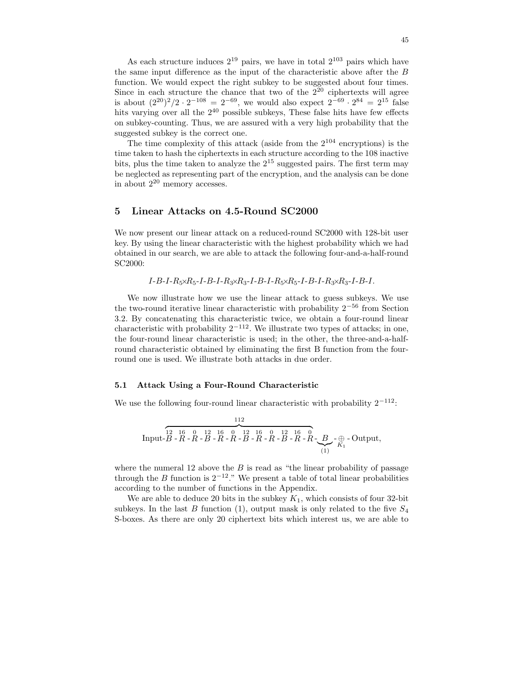As each structure induces  $2^{19}$  pairs, we have in total  $2^{103}$  pairs which have the same input difference as the input of the characteristic above after the B function. We would expect the right subkey to be suggested about four times. Since in each structure the chance that two of the  $2^{20}$  ciphertexts will agree is about  $(2^{20})^2/2 \cdot 2^{-108} = 2^{-69}$ , we would also expect  $2^{-69} \cdot 2^{84} = 2^{15}$  false hits varying over all the  $2^{40}$  possible subkeys, These false hits have few effects on subkey-counting. Thus, we are assured with a very high probability that the suggested subkey is the correct one.

The time complexity of this attack (aside from the  $2^{104}$  encryptions) is the time taken to hash the ciphertexts in each structure according to the 108 inactive bits, plus the time taken to analyze the  $2^{15}$  suggested pairs. The first term may be neglected as representing part of the encryption, and the analysis can be done in about 2 <sup>20</sup> memory accesses.

## 5 Linear Attacks on 4.5-Round SC2000

We now present our linear attack on a reduced-round SC2000 with 128-bit user key. By using the linear characteristic with the highest probability which we had obtained in our search, we are able to attack the following four-and-a-half-round SC2000:

$$
I-B-I-R_5\times R_5-I-B-I-R_3\times R_3-I-B-I-R_5\times R_5-I-B-I-R_3\times R_3-I-B-I.
$$

We now illustrate how we use the linear attack to guess subkeys. We use the two-round iterative linear characteristic with probability  $2^{-56}$  from Section 3.2. By concatenating this characteristic twice, we obtain a four-round linear characteristic with probability  $2^{-112}$ . We illustrate two types of attacks; in one, the four-round linear characteristic is used; in the other, the three-and-a-halfround characteristic obtained by eliminating the first B function from the fourround one is used. We illustrate both attacks in due order.

#### 5.1 Attack Using a Four-Round Characteristic

We use the following four-round linear characteristic with probability  $2^{-112}$ :

Input-112 z }| { 12 B - 16 R - 0 R - 12 B - 16 R - 0 R - 12 B - 16 R - 0 R - 12 B - 16 R - 0 R - B |{z} (1) -⊕ K<sup>1</sup> - Output,

where the numeral 12 above the  $B$  is read as "the linear probability of passage through the B function is  $2^{-12}$ ." We present a table of total linear probabilities according to the number of functions in the Appendix.

We are able to deduce 20 bits in the subkey  $K_1$ , which consists of four 32-bit subkeys. In the last B function (1), output mask is only related to the five  $S_4$ S-boxes. As there are only 20 ciphertext bits which interest us, we are able to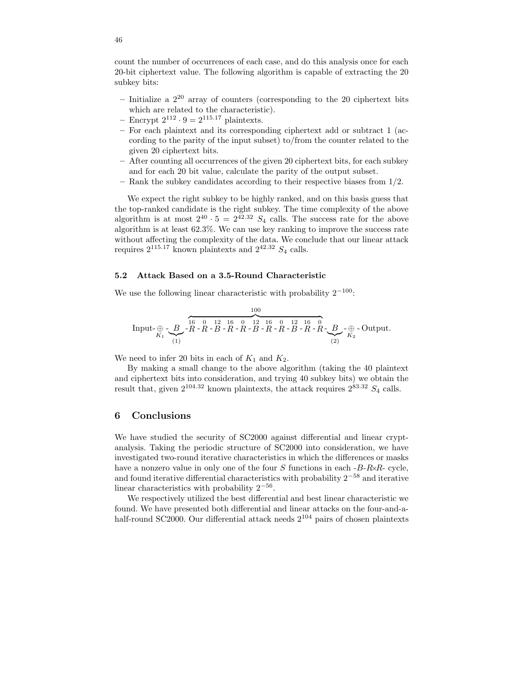count the number of occurrences of each case, and do this analysis once for each 20-bit ciphertext value. The following algorithm is capable of extracting the 20 subkey bits:

- $-$  Initialize a  $2^{20}$  array of counters (corresponding to the 20 ciphertext bits which are related to the characteristic).
- Encrypt  $2^{112} \cdot 9 = 2^{115.17}$  plaintexts.
- For each plaintext and its corresponding ciphertext add or subtract 1 (according to the parity of the input subset) to/from the counter related to the given 20 ciphertext bits.
- After counting all occurrences of the given 20 ciphertext bits, for each subkey and for each 20 bit value, calculate the parity of the output subset.
- $-$  Rank the subkey candidates according to their respective biases from  $1/2$ .

We expect the right subkey to be highly ranked, and on this basis guess that the top-ranked candidate is the right subkey. The time complexity of the above algorithm is at most  $2^{40} \cdot 5 = 2^{42.32} S_4$  calls. The success rate for the above algorithm is at least 62.3%. We can use key ranking to improve the success rate without affecting the complexity of the data. We conclude that our linear attack requires  $2^{115.17}$  known plaintexts and  $2^{42.32}$   $S_4$  calls.

### 5.2 Attack Based on a 3.5-Round Characteristic

We use the following linear characteristic with probability  $2^{-100}$ :

Input-
$$
\bigoplus_{K_1}
$$
 -  $\bigoplus_{K_1}$  -  $\bigoplus_{(1)}$  -  $\bigoplus_{(1)}$  -  $\bigoplus_{(1)}$  -  $\bigoplus_{(1)}$  -  $\bigoplus_{(1)}$  -  $\bigoplus_{(1)}$  -  $\bigoplus_{(1)}$  -  $\bigoplus_{(1)}$  -  $\bigoplus_{(1)}$  -  $\bigoplus_{(1)}$  -  $\bigoplus_{(1)}$  -  $\bigoplus_{(1)}$  -  $\bigoplus_{(1)}$  -  $\bigoplus_{(1)}$  -  $\bigoplus_{(1)}$  -  $\bigoplus_{(1)}$  -  $\bigoplus_{(1)}$  -  $\bigoplus_{(1)}$  -  $\bigoplus_{(1)}$  -  $\bigoplus_{(1)}$  -  $\bigoplus_{(1)}$  -  $\bigoplus_{(1)}$  -  $\bigoplus_{(1)}$  -  $\bigoplus_{(1)}$  -  $\bigoplus_{(1)}$  -  $\bigoplus_{(1)}$  -  $\bigoplus_{(1)}$  -  $\bigoplus_{(1)}$  -  $\bigoplus_{(1)}$  -  $\bigoplus_{(1)}$  -  $\bigoplus_{(1)}$  -  $\bigoplus_{(1)}$  -  $\bigoplus_{(1)}$  -  $\bigoplus_{(1)}$  -  $\bigoplus_{(1)}$  -  $\bigoplus_{(1)}$  -  $\bigoplus_{(1)}$  -  $\bigoplus_{(1)}$  -  $\bigoplus_{(1)}$  -  $\bigoplus_{(1)}$  -  $\bigoplus_{(1)}$  -  $\bigoplus_{(1)}$  -  $\bigoplus_{(1)}$  -  $\bigoplus_{(1)}$  -  $\bigoplus_{(1)}$  -  $\bigoplus_{(1)}$  -  $\bigoplus_{(1)}$  -  $\bigoplus_{(1)}$  -  $\bigoplus_{(1)}$  -  $\bigoplus_{(1)}$  -  $\bigoplus_{(1)}$  -  $\bigoplus_{(1)}$  -  $\bigoplus_{(1)}$  -  $\bigoplus_{(1)}$  -  $\bigoplus_{(1)}$  -  $\bigoplus_{(1)}$  -  $\bigoplus_{$ 

We need to infer 20 bits in each of  $K_1$  and  $K_2$ .

By making a small change to the above algorithm (taking the 40 plaintext and ciphertext bits into consideration, and trying 40 subkey bits) we obtain the result that, given  $2^{104.32}$  known plaintexts, the attack requires  $2^{83.32}$   $S_4$  calls.

# 6 Conclusions

We have studied the security of SC2000 against differential and linear cryptanalysis. Taking the periodic structure of SC2000 into consideration, we have investigated two-round iterative characteristics in which the differences or masks have a nonzero value in only one of the four  $S$  functions in each  $-B-R\alpha R$ - cycle, and found iterative differential characteristics with probability  $2^{-58}$  and iterative linear characteristics with probability  $2^{-56}$ .

We respectively utilized the best differential and best linear characteristic we found. We have presented both differential and linear attacks on the four-and-ahalf-round SC2000. Our differential attack needs  $2^{104}$  pairs of chosen plaintexts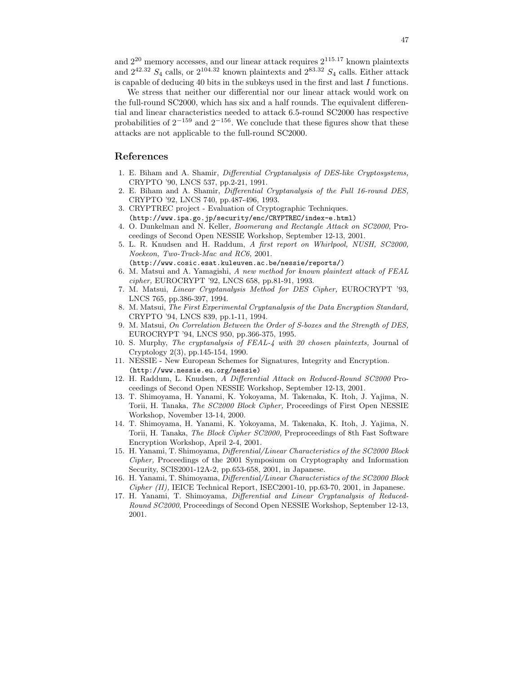and  $2^{20}$  memory accesses, and our linear attack requires  $2^{115.17}$  known plaintexts and  $2^{42.32}$   $S_4$  calls, or  $2^{104.32}$  known plaintexts and  $2^{83.32}$   $S_4$  calls. Either attack is capable of deducing 40 bits in the subkeys used in the first and last I functions.

We stress that neither our differential nor our linear attack would work on the full-round SC2000, which has six and a half rounds. The equivalent differential and linear characteristics needed to attack 6.5-round SC2000 has respective probabilities of  $2^{-159}$  and  $2^{-156}$ . We conclude that these figures show that these attacks are not applicable to the full-round SC2000.

## References

- 1. E. Biham and A. Shamir, Differential Cryptanalysis of DES-like Cryptosystems, CRYPTO '90, LNCS 537, pp.2-21, 1991.
- 2. E. Biham and A. Shamir, Differential Cryptanalysis of the Full 16-round DES, CRYPTO '92, LNCS 740, pp.487-496, 1993.
- 3. CRYPTREC project Evaluation of Cryptographic Techniques. (http://www.ipa.go.jp/security/enc/CRYPTREC/index-e.html)
- 4. O. Dunkelman and N. Keller, Boomerang and Rectangle Attack on SC2000, Proceedings of Second Open NESSIE Workshop, September 12-13, 2001.
- 5. L. R. Knudsen and H. Raddum, A first report on Whirlpool, NUSH, SC2000, Noekeon, Two-Track-Mac and RC6, 2001.

(http://www.cosic.esat.kuleuven.ac.be/nessie/reports/)

- 6. M. Matsui and A. Yamagishi, A new method for known plaintext attack of FEAL cipher, EUROCRYPT '92, LNCS 658, pp.81-91, 1993.
- 7. M. Matsui, Linear Cryptanalysis Method for DES Cipher, EUROCRYPT '93, LNCS 765, pp.386-397, 1994.
- 8. M. Matsui, The First Experimental Cryptanalysis of the Data Encryption Standard, CRYPTO '94, LNCS 839, pp.1-11, 1994.
- 9. M. Matsui, On Correlation Between the Order of S-boxes and the Strength of DES, EUROCRYPT '94, LNCS 950, pp.366-375, 1995.
- 10. S. Murphy, The cryptanalysis of FEAL-4 with 20 chosen plaintexts, Journal of Cryptology 2(3), pp.145-154, 1990.
- 11. NESSIE New European Schemes for Signatures, Integrity and Encryption. (http://www.nessie.eu.org/nessie)
- 12. H. Raddum, L. Knudsen, A Differential Attack on Reduced-Round SC2000 Proceedings of Second Open NESSIE Workshop, September 12-13, 2001.
- 13. T. Shimoyama, H. Yanami, K. Yokoyama, M. Takenaka, K. Itoh, J. Yajima, N. Torii, H. Tanaka, The SC2000 Block Cipher, Proceedings of First Open NESSIE Workshop, November 13-14, 2000.
- 14. T. Shimoyama, H. Yanami, K. Yokoyama, M. Takenaka, K. Itoh, J. Yajima, N. Torii, H. Tanaka, The Block Cipher SC2000, Preproceedings of 8th Fast Software Encryption Workshop, April 2-4, 2001.
- 15. H. Yanami, T. Shimoyama, Differential/Linear Characteristics of the SC2000 Block Cipher, Proceedings of the 2001 Symposium on Cryptography and Information Security, SCIS2001-12A-2, pp.653-658, 2001, in Japanese.
- 16. H. Yanami, T. Shimoyama, Differential/Linear Characteristics of the SC2000 Block  $Cipher (II)$ , IEICE Technical Report, ISEC2001-10, pp.63-70, 2001, in Japanese.
- 17. H. Yanami, T. Shimoyama, Differential and Linear Cryptanalysis of Reduced-Round SC2000, Proceedings of Second Open NESSIE Workshop, September 12-13, 2001.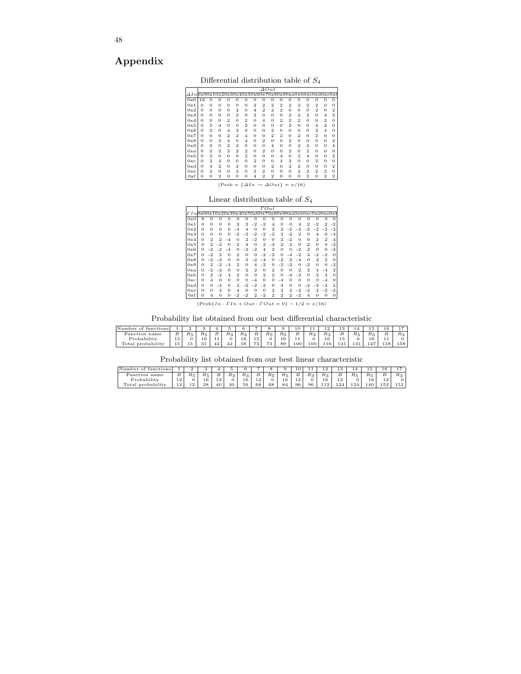# Appendix

Differential distribution table of  $S_4$ 

|                                                              |              |                |                |          |                |                |                |                | $\varDelta Out$ |                |                |                |                |                |                |          |
|--------------------------------------------------------------|--------------|----------------|----------------|----------|----------------|----------------|----------------|----------------|-----------------|----------------|----------------|----------------|----------------|----------------|----------------|----------|
| $\Delta In 0x00x10x20x30x40x50x60x70x80x90xa0xb0xc0xd0xe0xf$ |              |                |                |          |                |                |                |                |                 |                |                |                |                |                |                |          |
| 0x0                                                          | 16           | $\Omega$       | $\Omega$       | O        | O              | O              | O              | $\Omega$       | O               | O              | O              | $\Omega$       | 0              | $\Omega$       | O              | $\Omega$ |
| 0x1                                                          | O            | 0              | $\mathbf{0}$   | $\Omega$ | $\overline{0}$ | $\overline{0}$ | $\overline{2}$ | $\overline{2}$ | $\overline{2}$  | $\overline{2}$ | $\overline{2}$ | $\overline{2}$ | $\overline{2}$ | $\overline{2}$ | $\Omega$       | $\Omega$ |
| 0x2                                                          | O            | $\Omega$       | $\Omega$       | $\Omega$ | $\overline{2}$ | $\mathbf{0}$   | 4              | $\overline{2}$ | 2               | 2              | $\Omega$       | $\overline{0}$ | $\overline{0}$ | $\overline{2}$ | $\Omega$       | 2        |
| 0x3                                                          | 0            | 0              | $\mathbf{0}$   | $\Omega$ | $\overline{2}$ | $\mathbf{0}$   | $\overline{2}$ | $\mathbf{0}$   | $\Omega$        | O              | $\overline{2}$ | $\overline{2}$ | $\overline{2}$ | $\Omega$       | 4              | 2        |
| 0x4                                                          | 0            | 0              | $\mathbf{0}$   | 2        | $\Omega$       | $\overline{2}$ | $\mathbf{0}$   | $\overline{4}$ | $\Omega$        | 2              | $\overline{2}$ | $\overline{2}$ | $\mathbf{0}$   | $\mathbf{0}$   | 2              | Ω        |
| 0x5                                                          | $\Omega$     | $\overline{2}$ | $\overline{4}$ | $\Omega$ | $\Omega$       | $\overline{2}$ | $\overline{0}$ | $\mathbf{0}$   | $\Omega$        | O              | $\overline{2}$ | $\overline{0}$ | $\overline{0}$ | $\overline{4}$ | 2              | 0        |
| 0x6                                                          | $\Omega$     | $\overline{2}$ | $\Omega$       | 4        | 2              | $\mathbf{0}$   | $\overline{0}$ | $\mathbf{0}$   | 2               | O              | $\Omega$       | $\overline{0}$ | $\overline{0}$ | $\overline{2}$ | 4              | $\Omega$ |
| 0x7                                                          | $\Omega$     | 0              | $\Omega$       | 2        | 2              | $\overline{4}$ | $\mathbf{0}$   | $\mathbf{0}$   | 2               | 2              | $\Omega$       | $\overline{2}$ | $\overline{0}$ | $\overline{2}$ | $\Omega$       | $\Omega$ |
| 0x8                                                          | $\mathbf{0}$ | 0              | $\overline{2}$ | 4        | $\Omega$       | $\overline{4}$ | $\overline{0}$ | $\overline{2}$ | $\Omega$        | $\Omega$       | $\overline{2}$ | $\overline{0}$ | $\overline{0}$ | $\Omega$       | $\Omega$       | 2        |
| 0x9                                                          | $\Omega$     | 0              | $\Omega$       | 2        | 2              | $\mathbf{0}$   | $\mathbf{0}$   | $\Omega$       | 4               | O              | $\Omega$       | $\overline{2}$ | $\overline{2}$ | $\Omega$       | $\Omega$       | 4        |
| 0 <sub>xa</sub>                                              | 0            | 2              | 2              | 2        | 2              | $\overline{2}$ | $\mathbf{0}$   | $\overline{2}$ | $\Omega$        | O              | 2              | $\Omega$       | $\overline{2}$ | $\Omega$       | $\Omega$       | $\Omega$ |
| 0x <sub>b</sub>                                              | 0            | $\overline{2}$ | $\Omega$       | $\Omega$ | $\Omega$       | $\overline{2}$ | $\overline{0}$ | $\mathbf{0}$   | $\Omega$        | 4              | $\Omega$       | $\overline{2}$ | $\overline{4}$ | $\Omega$       | $\Omega$       | 2        |
| 0xc                                                          | 0            | $\overline{2}$ | $\overline{4}$ | $\Omega$ | $\Omega$       | $\overline{0}$ | $\overline{2}$ | $\Omega$       | $\Omega$        | 4              | 2              | $\Omega$       | $\overline{0}$ | $\overline{2}$ | $\Omega$       | $\Omega$ |
| 0xd                                                          | 0            | 4              | $\overline{2}$ | $\Omega$ | 2              | $\Omega$       | $\mathbf{0}$   | $\Omega$       | $\overline{2}$  | $\Omega$       | 2              | $\overline{2}$ | $\mathbf{0}$   | $\Omega$       | $\Omega$       | 2        |
| 0xe                                                          | 0            | $\overline{2}$ | $\Omega$       | $\Omega$ | $\overline{2}$ | $\mathbf{0}$   | $\overline{2}$ | $\overline{2}$ | $\Omega$        | O              | $\Omega$       | $\overline{2}$ | $\overline{2}$ | $\overline{2}$ | 2              | O        |
| 0xf                                                          | 0            | 0              | 2              | 0        | 0              | $\overline{0}$ | $\overline{4}$ | $\overline{2}$ | 2               | 0              | 0              | $\overline{0}$ | $\overline{2}$ | $\mathbf{0}$   | $\overline{2}$ | 2        |

 $(Prob = \{\Delta In \rightarrow \Delta Out\} = x/16)$ 

## Linear distribution table of  $\mathcal{S}_4$

|                                                       |          |          |                |              |                |                |                | $_{\Gamma Out}$ |                |                |                |                |                |          |     |          |
|-------------------------------------------------------|----------|----------|----------------|--------------|----------------|----------------|----------------|-----------------|----------------|----------------|----------------|----------------|----------------|----------|-----|----------|
| $I1n0x00x10x20x30x40x50x60x70x80x90xa0xb0xc0xd0xe0xf$ |          |          |                |              |                |                |                |                 |                |                |                |                |                |          |     |          |
| 0x0                                                   | 8        |          | Ω              | O            | Ω              | 0              | $\Omega$       | 0               | O              | O              | O              | $\Omega$       | 0              |          |     | $\Omega$ |
| 0x1                                                   | $\Omega$ | 0        | 0              | $\mathbf{0}$ | 2              | 2              | -2             | -2              | 4              | $\mathbf{0}$   | $\mathbf{0}$   | $\overline{4}$ | 2              | -2       | 2   | -2       |
| 0x2                                                   | $\Omega$ | 0        | $\Omega$       | $\Omega$     | -4             | 4              | $\Omega$       | $\mathbf{0}$    | $\overline{2}$ | 2              | -2             | -2             | 2              | -2       | 2   | $-2$     |
| 0x3                                                   | $\Omega$ | $\Omega$ | $\Omega$       | $\Omega$     | -2             | -2             | $-2$           | -2              | -2             | 2              | -2             | 2              | $\Omega$       | 4        | O   | -4       |
| 0x4                                                   | $\Omega$ | 2        | 2              | -4           | $\mathbf{0}$   | 2              | $-2$           | 0               | $\Omega$       | 2              | -2             | $\Omega$       | $\Omega$       | 2        | 2   | 4        |
| 0x5                                                   | $\Omega$ | 2        | -2             | $\Omega$     | 2              | $\overline{4}$ | $\Omega$       | 2               | -4             | 2              | $\overline{2}$ | $\mathbf{0}$   | 2              | $\Omega$ | O   | -2       |
| 0x6                                                   | 0        | 2        | -2             | -4           | O              | -2             | $-2$           | $\overline{4}$  | 2              | $\Omega$       | $\mathbf{0}$   | $-2$           | 2              | $\Omega$ | O   | $-2$     |
| 0x7                                                   | O        | -2       | 2              | $\Omega$     | $\overline{2}$ | $\Omega$       | $\Omega$       | -2              | -2             | Ω              | -4             | $-2$           | $\overline{4}$ | 2        | -2  | O        |
| 0x8                                                   | O        | -2       | -2             | $\Omega$     | $\mathbf{0}$   | 2              | -2             | -4              | 0              | -2             | 2              | -4             | $\Omega$       | 2        | 2   | Ω        |
| 0x9                                                   | $\Omega$ | 2        | -2             | -4           | 2              | $\Omega$       | $\overline{4}$ | $-2$            | O              | 2              | 2              | $\Omega$       | -2             | Ω        | O   | -2       |
| 0xa                                                   | 0        | 2        | -2             | $\mathbf{0}$ | $\mathbf{0}$   | 2              | 2              | $\mathbf{0}$    | 2              | $\Omega$       | $\mathbf{0}$   | 2              | 2              |          | -4  | 2        |
| 0x <sub>b</sub>                                       | 0        |          | $^{\rm -2}$    | 4            | 2              | $\Omega$       | $\Omega$       | 2               | 2              | O              | -4             | -2             | $\Omega$       | 2        | 2   | $\Omega$ |
| 0xc                                                   | $\Omega$ | 4        | 0              | $\mathbf{0}$ | $\mathbf{0}$   | $\mathbf{0}$   | -4             | $\Omega$        | $\Omega$       | -4             | $\mathbf{0}$   | $\Omega$       | $\Omega$       | 0        | -4  | O        |
| 0xd                                                   | $\Omega$ | 0        | -4             | 0            | 2              | -2             | $-2$           | -2              | o              | $\overline{4}$ | $\mathbf{0}$   | $\Omega$       | -2             | -2       | -2  | 2        |
| 0xe                                                   | $\Omega$ | 0        | $\overline{4}$ | 0            | 4              | $\mathbf{0}$   | $\Omega$       | $\mathbf{0}$    | 2              | 2              | 2              | -2             | -2             |          | - 2 | -2       |
| 0xf                                                   | 0        | 4        | $\mathbf{0}$   | O            | 2              | 2              | 2              | -2              | 2              | 2              | 2              | -2             | 4              | 0        | 0   | 0        |

 $(Prob{In \cdot \Gamma In + Out \cdot \Gamma Out = 0} - 1/2 = x/16)$ 

Probability list obtained from our best differential characteristic

| Number<br>$^{\circ}$ |    |     |                       |    |    |    |    |              |              | 10  | . . | . о<br>ᆠ | -2<br>- 10 | 14  | ΙÜ               | 16  | -   |
|----------------------|----|-----|-----------------------|----|----|----|----|--------------|--------------|-----|-----|----------|------------|-----|------------------|-----|-----|
| Function<br>name     |    | Re  | Rκ                    | ၪ  |    | Ro |    | $R_{\kappa}$ | R⊧           | Ŀ   | R-  | R,       | ▱          | Rк. | $R_{\kappa}$     | в   | R2  |
| Probability          | 15 |     | $\sim$                |    |    | 16 | 15 |              | $\sim$<br>τv | . . |     | 16       | 15         | ~   | $\sqrt{2}$<br>10 | . . | v   |
| rotal<br>pro         | 15 | 1 O | $\sim$ $\cdot$<br>- 1 | ±∠ | 42 | 58 | 73 | $\cdot$      | 89           | 100 | 100 | 116      | 131        | 131 | 147              | 158 | 158 |

Probability list obtained from our best linear characteristic

| Number<br>ions         |          |    |               |                 |                |                     |     |              |         | 10              | . .                  | 12                        | ιo       | 14  | Ιð                | 16           |     |
|------------------------|----------|----|---------------|-----------------|----------------|---------------------|-----|--------------|---------|-----------------|----------------------|---------------------------|----------|-----|-------------------|--------------|-----|
| Function name          | В        | Rκ |               | В               | R <sub>2</sub> | πc                  | ∸   | $R_{\kappa}$ | Rκ<br>ن | ₽               | R <sub>2</sub><br>د، | R <sub>2</sub><br>$\cdot$ | ∸        | Кĸ  | $R_{\infty}$<br>υ | ∸            | Кo  |
| Probability            | 1 ລ<br>ᆠ |    | $\mathcal{L}$ | <b>C</b><br>. . |                | $\mathcal{L}$<br>πυ | . . |              | ΙU      | $\Omega$<br>. . |                      | 16                        | ּח<br>∸∸ |     | 16                | $\sim$<br>-- | υ   |
| ÷<br>Total probability | າຈ<br>ᆠ  | -- | 28            | 40              | 40             | 56                  | 68  | 68           | 84      | 96              | 96                   | 12<br>++4                 | 124      | 124 | 140               | 152          | 152 |